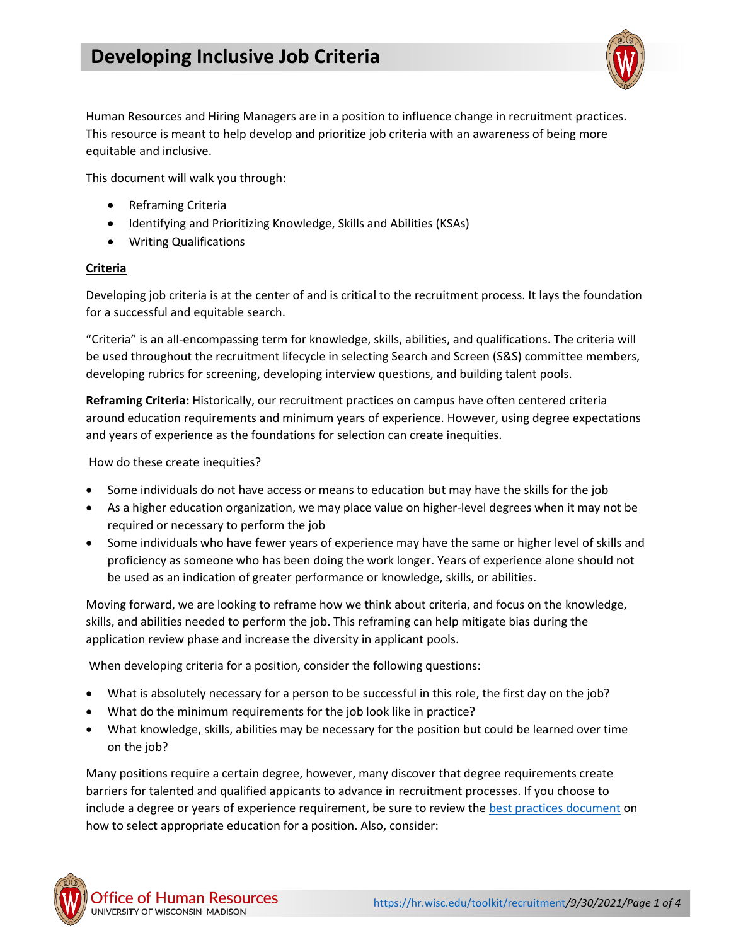

Human Resources and Hiring Managers are in a position to influence change in recruitment practices. This resource is meant to help develop and prioritize job criteria with an awareness of being more equitable and inclusive.

This document will walk you through:

- Reframing Criteria
- Identifying and Prioritizing Knowledge, Skills and Abilities (KSAs)
- Writing Qualifications

# **Criteria**

Developing job criteria is at the center of and is critical to the recruitment process. It lays the foundation for a successful and equitable search.

"Criteria" is an all-encompassing term for knowledge, skills, abilities, and qualifications. The criteria will be used throughout the recruitment lifecycle in selecting Search and Screen (S&S) committee members, developing rubrics for screening, developing interview questions, and building talent pools.

**Reframing Criteria:** Historically, our recruitment practices on campus have often centered criteria around education requirements and minimum years of experience. However, using degree expectations and years of experience as the foundations for selection can create inequities.

How do these create inequities?

- Some individuals do not have access or means to education but may have the skills for the job
- As a higher education organization, we may place value on higher-level degrees when it may not be required or necessary to perform the job
- Some individuals who have fewer years of experience may have the same or higher level of skills and proficiency as someone who has been doing the work longer. Years of experience alone should not be used as an indication of greater performance or knowledge, skills, or abilities.

Moving forward, we are looking to reframe how we think about criteria, and focus on the knowledge, skills, and abilities needed to perform the job. This reframing can help mitigate bias during the application review phase and increase the diversity in applicant pools.

When developing criteria for a position, consider the following questions:

- What is absolutely necessary for a person to be successful in this role, the first day on the job?
- What do the minimum requirements for the job look like in practice?
- What knowledge, skills, abilities may be necessary for the position but could be learned over time on the job?

Many positions require a certain degree, however, many discover that degree requirements create barriers for talented and qualified appicants to advance in recruitment processes. If you choose to include a degree or years of experience requirement, be sure to review th[e best practices document](https://hr.wisc.edu/docs/recruitment/jems-education-field.pdf) on how to select appropriate education for a position. Also, consider:

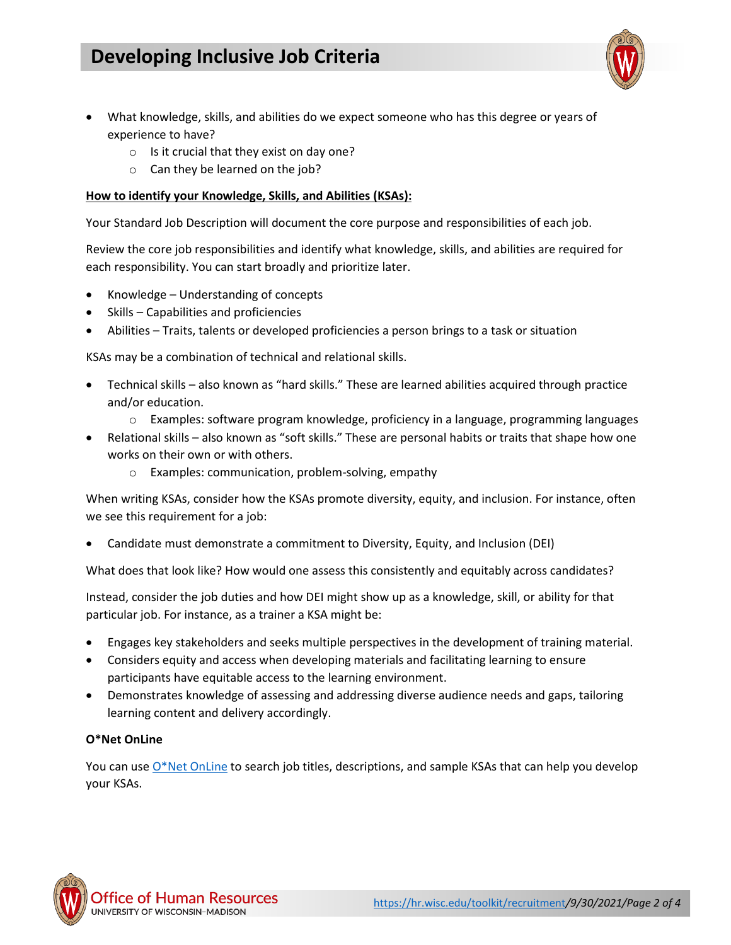# **Developing Inclusive Job Criteria**



- What knowledge, skills, and abilities do we expect someone who has this degree or years of experience to have?
	- o Is it crucial that they exist on day one?
	- o Can they be learned on the job?

## **How to identify your Knowledge, Skills, and Abilities (KSAs):**

Your Standard Job Description will document the core purpose and responsibilities of each job.

Review the core job responsibilities and identify what knowledge, skills, and abilities are required for each responsibility. You can start broadly and prioritize later.

- Knowledge Understanding of concepts
- Skills Capabilities and proficiencies
- Abilities Traits, talents or developed proficiencies a person brings to a task or situation

KSAs may be a combination of technical and relational skills.

- Technical skills also known as "hard skills." These are learned abilities acquired through practice and/or education.
	- o Examples: software program knowledge, proficiency in a language, programming languages
- Relational skills also known as "soft skills." These are personal habits or traits that shape how one works on their own or with others.
	- o Examples: communication, problem-solving, empathy

When writing KSAs, consider how the KSAs promote diversity, equity, and inclusion. For instance, often we see this requirement for a job:

• Candidate must demonstrate a commitment to Diversity, Equity, and Inclusion (DEI)

What does that look like? How would one assess this consistently and equitably across candidates?

Instead, consider the job duties and how DEI might show up as a knowledge, skill, or ability for that particular job. For instance, as a trainer a KSA might be:

- Engages key stakeholders and seeks multiple perspectives in the development of training material.
- Considers equity and access when developing materials and facilitating learning to ensure participants have equitable access to the learning environment.
- Demonstrates knowledge of assessing and addressing diverse audience needs and gaps, tailoring learning content and delivery accordingly.

# **O\*Net OnLine**

You can us[e O\\*Net OnLine](https://www.onetonline.org/) to search job titles, descriptions, and sample KSAs that can help you develop your KSAs.

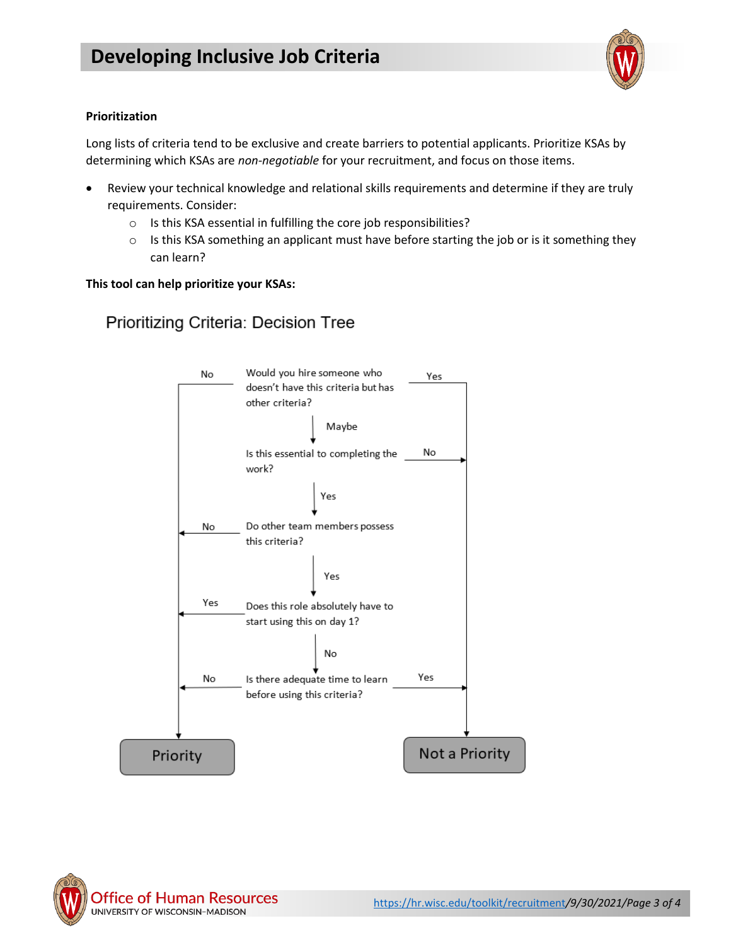

### **Prioritization**

Long lists of criteria tend to be exclusive and create barriers to potential applicants. Prioritize KSAs by determining which KSAs are *non-negotiable* for your recruitment, and focus on those items.

- Review your technical knowledge and relational skills requirements and determine if they are truly requirements. Consider:
	- o Is this KSA essential in fulfilling the core job responsibilities?
	- $\circ$  Is this KSA something an applicant must have before starting the job or is it something they can learn?

### **This tool can help prioritize your KSAs:**



Prioritizing Criteria: Decision Tree